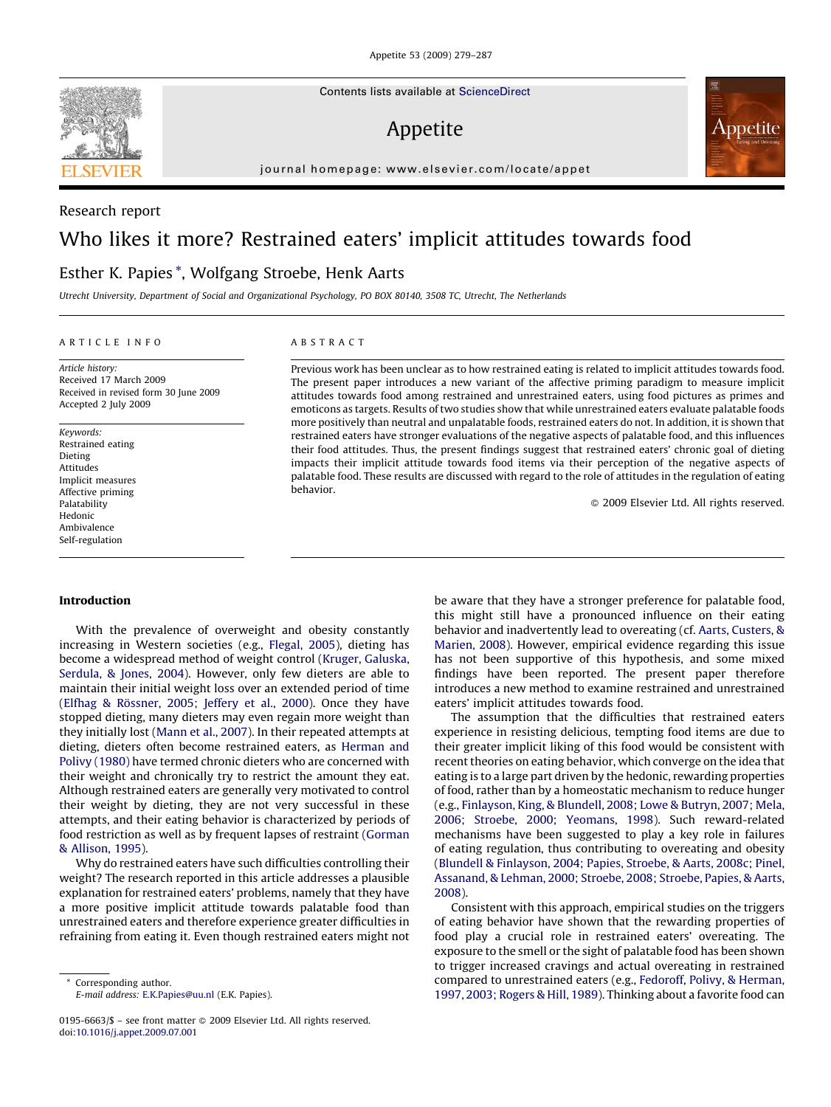Contents lists available at [ScienceDirect](http://www.sciencedirect.com/science/journal/01956663)

## Appetite

journal homepage: www.elsevier.com/locate/appet

# Who likes it more? Restrained eaters' implicit attitudes towards food

### Esther K. Papies \*, Wolfgang Stroebe, Henk Aarts

Utrecht University, Department of Social and Organizational Psychology, PO BOX 80140, 3508 TC, Utrecht, The Netherlands

#### ARTICLE INFO

Article history: Received 17 March 2009 Received in revised form 30 June 2009 Accepted 2 July 2009

Keywords: Restrained eating Dieting Attitudes Implicit measures Affective priming Palatability Hedonic Ambivalence Self-regulation

#### ABSTRACT

Previous work has been unclear as to how restrained eating is related to implicit attitudes towards food. The present paper introduces a new variant of the affective priming paradigm to measure implicit attitudes towards food among restrained and unrestrained eaters, using food pictures as primes and emoticons as targets. Results of two studies show that while unrestrained eaters evaluate palatable foods more positively than neutral and unpalatable foods, restrained eaters do not. In addition, it is shown that restrained eaters have stronger evaluations of the negative aspects of palatable food, and this influences their food attitudes. Thus, the present findings suggest that restrained eaters' chronic goal of dieting impacts their implicit attitude towards food items via their perception of the negative aspects of palatable food. These results are discussed with regard to the role of attitudes in the regulation of eating behavior.

- 2009 Elsevier Ltd. All rights reserved.

#### Introduction

With the prevalence of overweight and obesity constantly increasing in Western societies (e.g., [Flegal, 2005](#page-7-0)), dieting has become a widespread method of weight control [\(Kruger, Galuska,](#page-7-0) [Serdula, & Jones, 2004\)](#page-7-0). However, only few dieters are able to maintain their initial weight loss over an extended period of time (Elfhag & Rö[ssner, 2005; Jeffery et al., 2000](#page-7-0)). Once they have stopped dieting, many dieters may even regain more weight than they initially lost [\(Mann et al., 2007](#page-7-0)). In their repeated attempts at dieting, dieters often become restrained eaters, as [Herman and](#page-7-0) [Polivy \(1980\)](#page-7-0) have termed chronic dieters who are concerned with their weight and chronically try to restrict the amount they eat. Although restrained eaters are generally very motivated to control their weight by dieting, they are not very successful in these attempts, and their eating behavior is characterized by periods of food restriction as well as by frequent lapses of restraint ([Gorman](#page-7-0) [& Allison, 1995](#page-7-0)).

Why do restrained eaters have such difficulties controlling their weight? The research reported in this article addresses a plausible explanation for restrained eaters' problems, namely that they have a more positive implicit attitude towards palatable food than unrestrained eaters and therefore experience greater difficulties in refraining from eating it. Even though restrained eaters might not

be aware that they have a stronger preference for palatable food, this might still have a pronounced influence on their eating behavior and inadvertently lead to overeating (cf. [Aarts, Custers, &](#page-7-0) [Marien, 2008\)](#page-7-0). However, empirical evidence regarding this issue has not been supportive of this hypothesis, and some mixed findings have been reported. The present paper therefore introduces a new method to examine restrained and unrestrained eaters' implicit attitudes towards food.

The assumption that the difficulties that restrained eaters experience in resisting delicious, tempting food items are due to their greater implicit liking of this food would be consistent with recent theories on eating behavior, which converge on the idea that eating is to a large part driven by the hedonic, rewarding properties of food, rather than by a homeostatic mechanism to reduce hunger (e.g., [Finlayson, King, & Blundell, 2008; Lowe & Butryn, 2007; Mela,](#page-7-0) [2006; Stroebe, 2000; Yeomans, 1998\)](#page-7-0). Such reward-related mechanisms have been suggested to play a key role in failures of eating regulation, thus contributing to overeating and obesity ([Blundell & Finlayson, 2004; Papies, Stroebe, & Aarts, 2008c; Pinel,](#page-7-0) [Assanand, & Lehman, 2000; Stroebe, 2008; Stroebe, Papies, & Aarts,](#page-7-0) [2008\)](#page-7-0).

Consistent with this approach, empirical studies on the triggers of eating behavior have shown that the rewarding properties of food play a crucial role in restrained eaters' overeating. The exposure to the smell or the sight of palatable food has been shown to trigger increased cravings and actual overeating in restrained compared to unrestrained eaters (e.g., [Fedoroff, Polivy, & Herman,](#page-7-0) [1997, 2003; Rogers & Hill, 1989\)](#page-7-0). Thinking about a favorite food can



Research report



Corresponding author. E-mail address: [E.K.Papies@uu.nl](mailto:E.K.Papies@uu.nl) (E.K. Papies).

<sup>0195-6663/\$ –</sup> see front matter © 2009 Elsevier Ltd. All rights reserved. doi:[10.1016/j.appet.2009.07.001](http://dx.doi.org/10.1016/j.appet.2009.07.001)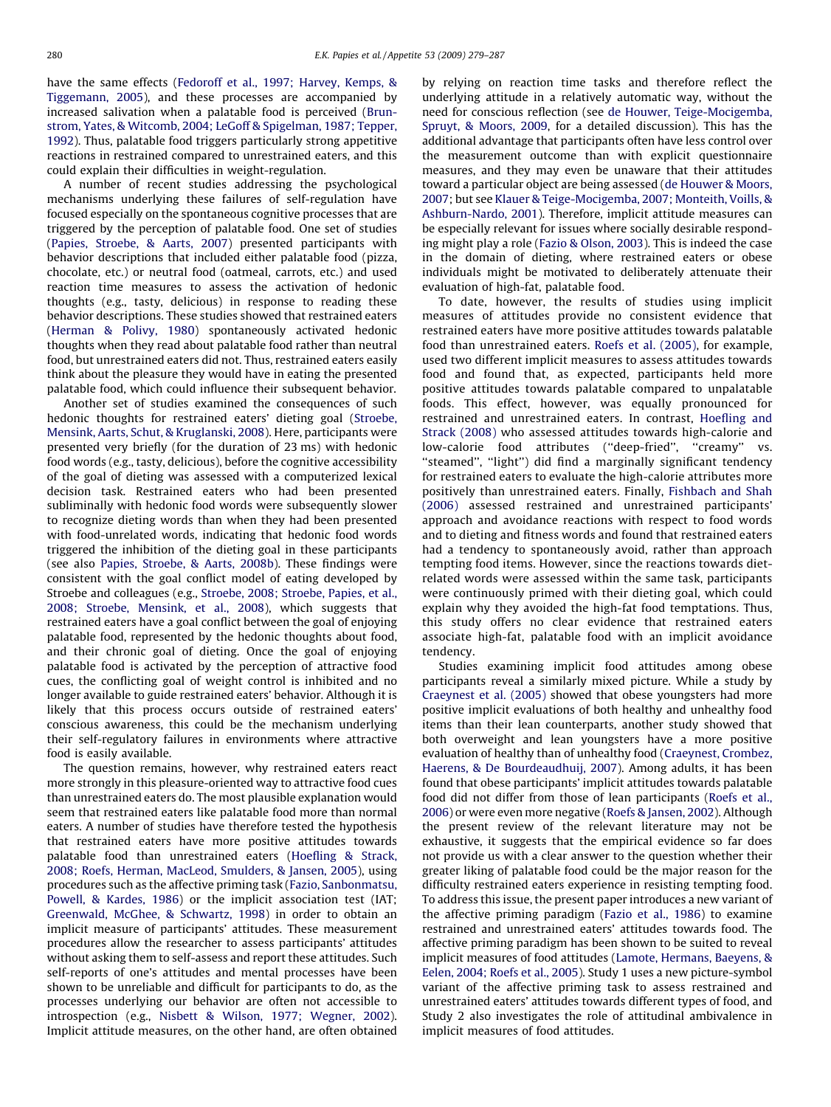have the same effects [\(Fedoroff et al., 1997; Harvey, Kemps, &](#page-7-0) [Tiggemann, 2005\)](#page-7-0), and these processes are accompanied by increased salivation when a palatable food is perceived [\(Brun](#page-7-0)[strom, Yates, & Witcomb, 2004; LeGoff & Spigelman, 1987; Tepper,](#page-7-0) [1992](#page-7-0)). Thus, palatable food triggers particularly strong appetitive reactions in restrained compared to unrestrained eaters, and this could explain their difficulties in weight-regulation.

A number of recent studies addressing the psychological mechanisms underlying these failures of self-regulation have focused especially on the spontaneous cognitive processes that are triggered by the perception of palatable food. One set of studies ([Papies, Stroebe, & Aarts, 2007](#page-7-0)) presented participants with behavior descriptions that included either palatable food (pizza, chocolate, etc.) or neutral food (oatmeal, carrots, etc.) and used reaction time measures to assess the activation of hedonic thoughts (e.g., tasty, delicious) in response to reading these behavior descriptions. These studies showed that restrained eaters ([Herman & Polivy, 1980](#page-7-0)) spontaneously activated hedonic thoughts when they read about palatable food rather than neutral food, but unrestrained eaters did not. Thus, restrained eaters easily think about the pleasure they would have in eating the presented palatable food, which could influence their subsequent behavior.

Another set of studies examined the consequences of such hedonic thoughts for restrained eaters' dieting goal ([Stroebe,](#page-7-0) [Mensink, Aarts, Schut, & Kruglanski, 2008\)](#page-7-0). Here, participants were presented very briefly (for the duration of 23 ms) with hedonic food words (e.g., tasty, delicious), before the cognitive accessibility of the goal of dieting was assessed with a computerized lexical decision task. Restrained eaters who had been presented subliminally with hedonic food words were subsequently slower to recognize dieting words than when they had been presented with food-unrelated words, indicating that hedonic food words triggered the inhibition of the dieting goal in these participants (see also [Papies, Stroebe, & Aarts, 2008b](#page-7-0)). These findings were consistent with the goal conflict model of eating developed by Stroebe and colleagues (e.g., [Stroebe, 2008; Stroebe, Papies, et al.,](#page-7-0) [2008; Stroebe, Mensink, et al., 2008\)](#page-7-0), which suggests that restrained eaters have a goal conflict between the goal of enjoying palatable food, represented by the hedonic thoughts about food, and their chronic goal of dieting. Once the goal of enjoying palatable food is activated by the perception of attractive food cues, the conflicting goal of weight control is inhibited and no longer available to guide restrained eaters' behavior. Although it is likely that this process occurs outside of restrained eaters' conscious awareness, this could be the mechanism underlying their self-regulatory failures in environments where attractive food is easily available.

The question remains, however, why restrained eaters react more strongly in this pleasure-oriented way to attractive food cues than unrestrained eaters do. The most plausible explanation would seem that restrained eaters like palatable food more than normal eaters. A number of studies have therefore tested the hypothesis that restrained eaters have more positive attitudes towards palatable food than unrestrained eaters ([Hoefling & Strack,](#page-7-0) [2008; Roefs, Herman, MacLeod, Smulders, & Jansen, 2005](#page-7-0)), using procedures such as the affective priming task ([Fazio, Sanbonmatsu,](#page-7-0) [Powell, & Kardes, 1986](#page-7-0)) or the implicit association test (IAT; [Greenwald, McGhee, & Schwartz, 1998](#page-7-0)) in order to obtain an implicit measure of participants' attitudes. These measurement procedures allow the researcher to assess participants' attitudes without asking them to self-assess and report these attitudes. Such self-reports of one's attitudes and mental processes have been shown to be unreliable and difficult for participants to do, as the processes underlying our behavior are often not accessible to introspection (e.g., [Nisbett & Wilson, 1977; Wegner, 2002\)](#page-7-0). Implicit attitude measures, on the other hand, are often obtained

by relying on reaction time tasks and therefore reflect the underlying attitude in a relatively automatic way, without the need for conscious reflection (see [de Houwer, Teige-Mocigemba,](#page-7-0) [Spruyt, & Moors, 2009,](#page-7-0) for a detailed discussion). This has the additional advantage that participants often have less control over the measurement outcome than with explicit questionnaire measures, and they may even be unaware that their attitudes toward a particular object are being assessed ([de Houwer & Moors,](#page-7-0) [2007;](#page-7-0) but see [Klauer & Teige-Mocigemba, 2007; Monteith, Voills, &](#page-7-0) [Ashburn-Nardo, 2001\)](#page-7-0). Therefore, implicit attitude measures can be especially relevant for issues where socially desirable responding might play a role ([Fazio & Olson, 2003](#page-7-0)). This is indeed the case in the domain of dieting, where restrained eaters or obese individuals might be motivated to deliberately attenuate their evaluation of high-fat, palatable food.

To date, however, the results of studies using implicit measures of attitudes provide no consistent evidence that restrained eaters have more positive attitudes towards palatable food than unrestrained eaters. [Roefs et al. \(2005\)](#page-7-0), for example, used two different implicit measures to assess attitudes towards food and found that, as expected, participants held more positive attitudes towards palatable compared to unpalatable foods. This effect, however, was equally pronounced for restrained and unrestrained eaters. In contrast, [Hoefling and](#page-7-0) [Strack \(2008\)](#page-7-0) who assessed attitudes towards high-calorie and low-calorie food attributes (''deep-fried'', ''creamy'' vs. "steamed", "light") did find a marginally significant tendency for restrained eaters to evaluate the high-calorie attributes more positively than unrestrained eaters. Finally, [Fishbach and Shah](#page-7-0) [\(2006\)](#page-7-0) assessed restrained and unrestrained participants' approach and avoidance reactions with respect to food words and to dieting and fitness words and found that restrained eaters had a tendency to spontaneously avoid, rather than approach tempting food items. However, since the reactions towards dietrelated words were assessed within the same task, participants were continuously primed with their dieting goal, which could explain why they avoided the high-fat food temptations. Thus, this study offers no clear evidence that restrained eaters associate high-fat, palatable food with an implicit avoidance tendency.

Studies examining implicit food attitudes among obese participants reveal a similarly mixed picture. While a study by [Craeynest et al. \(2005\)](#page-7-0) showed that obese youngsters had more positive implicit evaluations of both healthy and unhealthy food items than their lean counterparts, another study showed that both overweight and lean youngsters have a more positive evaluation of healthy than of unhealthy food [\(Craeynest, Crombez,](#page-7-0) [Haerens, & De Bourdeaudhuij, 2007\)](#page-7-0). Among adults, it has been found that obese participants' implicit attitudes towards palatable food did not differ from those of lean participants [\(Roefs et al.,](#page-7-0) [2006\)](#page-7-0) or were even more negative [\(Roefs & Jansen, 2002\)](#page-7-0). Although the present review of the relevant literature may not be exhaustive, it suggests that the empirical evidence so far does not provide us with a clear answer to the question whether their greater liking of palatable food could be the major reason for the difficulty restrained eaters experience in resisting tempting food. To address this issue, the present paper introduces a new variant of the affective priming paradigm [\(Fazio et al., 1986](#page-7-0)) to examine restrained and unrestrained eaters' attitudes towards food. The affective priming paradigm has been shown to be suited to reveal implicit measures of food attitudes ([Lamote, Hermans, Baeyens, &](#page-7-0) [Eelen, 2004; Roefs et al., 2005\)](#page-7-0). Study 1 uses a new picture-symbol variant of the affective priming task to assess restrained and unrestrained eaters' attitudes towards different types of food, and Study 2 also investigates the role of attitudinal ambivalence in implicit measures of food attitudes.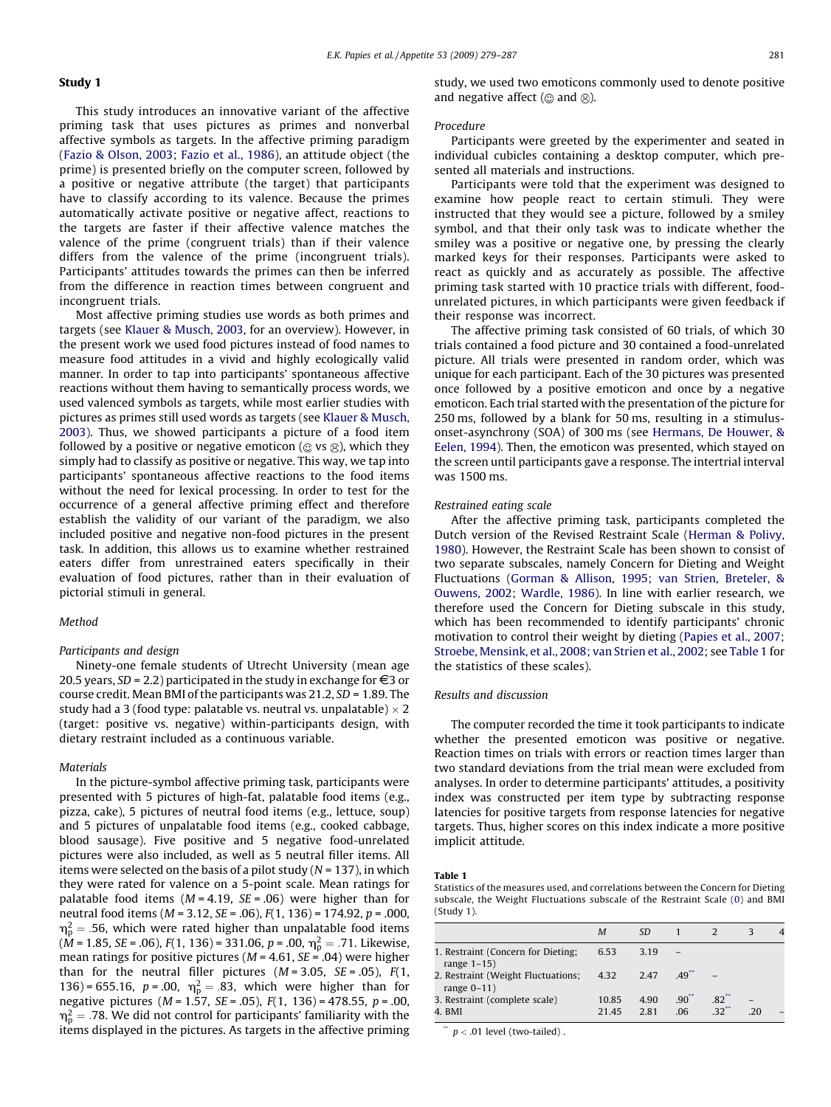#### Study 1

This study introduces an innovative variant of the affective priming task that uses pictures as primes and nonverbal affective symbols as targets. In the affective priming paradigm ([Fazio & Olson, 2003; Fazio et al., 1986\)](#page-7-0), an attitude object (the prime) is presented briefly on the computer screen, followed by a positive or negative attribute (the target) that participants have to classify according to its valence. Because the primes automatically activate positive or negative affect, reactions to the targets are faster if their affective valence matches the valence of the prime (congruent trials) than if their valence differs from the valence of the prime (incongruent trials). Participants' attitudes towards the primes can then be inferred from the difference in reaction times between congruent and incongruent trials.

Most affective priming studies use words as both primes and targets (see [Klauer & Musch, 2003,](#page-7-0) for an overview). However, in the present work we used food pictures instead of food names to measure food attitudes in a vivid and highly ecologically valid manner. In order to tap into participants' spontaneous affective reactions without them having to semantically process words, we used valenced symbols as targets, while most earlier studies with pictures as primes still used words as targets (see [Klauer & Musch,](#page-7-0) [2003\)](#page-7-0). Thus, we showed participants a picture of a food item followed by a positive or negative emoticon ( $\odot$  vs  $\odot$ ), which they simply had to classify as positive or negative. This way, we tap into participants' spontaneous affective reactions to the food items without the need for lexical processing. In order to test for the occurrence of a general affective priming effect and therefore establish the validity of our variant of the paradigm, we also included positive and negative non-food pictures in the present task. In addition, this allows us to examine whether restrained eaters differ from unrestrained eaters specifically in their evaluation of food pictures, rather than in their evaluation of pictorial stimuli in general.

#### Method

#### Participants and design

Ninety-one female students of Utrecht University (mean age 20.5 years,  $SD = 2.2$ ) participated in the study in exchange for  $\epsilon$ 3 or course credit. Mean BMI of the participants was 21.2, SD = 1.89. The study had a 3 (food type: palatable vs. neutral vs. unpalatable)  $\times$  2 (target: positive vs. negative) within-participants design, with dietary restraint included as a continuous variable.

#### Materials

In the picture-symbol affective priming task, participants were presented with 5 pictures of high-fat, palatable food items (e.g., pizza, cake), 5 pictures of neutral food items (e.g., lettuce, soup) and 5 pictures of unpalatable food items (e.g., cooked cabbage, blood sausage). Five positive and 5 negative food-unrelated pictures were also included, as well as 5 neutral filler items. All items were selected on the basis of a pilot study ( $N = 137$ ), in which they were rated for valence on a 5-point scale. Mean ratings for palatable food items ( $M = 4.19$ ,  $SE = .06$ ) were higher than for neutral food items ( $M = 3.12$ ,  $SE = .06$ ),  $F(1, 136) = 174.92$ ,  $p = .000$ ,  $\mathsf{m_{p}^{2}}=$  .56, which were rated higher than unpalatable food items (M = 1.85, *SE* = .06), F(1, 136) = 331.06, p = .00,  $\eta_{\rm p}^2 =$  .71. Likewise, mean ratings for positive pictures ( $M = 4.61$ ,  $SE = .04$ ) were higher than for the neutral filler pictures  $(M = 3.05, SE = .05)$ ,  $F(1,$ 136) = 655.16,  $p = .00$ ,  $\eta_p^2 = .83$ , which were higher than for negative pictures ( $M = 1.57$ ,  $SE = .05$ ),  $F(1, 136) = 478.55$ ,  $p = .00$ ,  $\mathsf{m_{p}^{2}}=$  .78. We did not control for participants' familiarity with the items displayed in the pictures. As targets in the affective priming study, we used two emoticons commonly used to denote positive and negative affect ( $\odot$  and  $\odot$ ).

#### Procedure

Participants were greeted by the experimenter and seated in individual cubicles containing a desktop computer, which presented all materials and instructions.

Participants were told that the experiment was designed to examine how people react to certain stimuli. They were instructed that they would see a picture, followed by a smiley symbol, and that their only task was to indicate whether the smiley was a positive or negative one, by pressing the clearly marked keys for their responses. Participants were asked to react as quickly and as accurately as possible. The affective priming task started with 10 practice trials with different, foodunrelated pictures, in which participants were given feedback if their response was incorrect.

The affective priming task consisted of 60 trials, of which 30 trials contained a food picture and 30 contained a food-unrelated picture. All trials were presented in random order, which was unique for each participant. Each of the 30 pictures was presented once followed by a positive emoticon and once by a negative emoticon. Each trial started with the presentation of the picture for 250 ms, followed by a blank for 50 ms, resulting in a stimulusonset-asynchrony (SOA) of 300 ms (see [Hermans, De Houwer, &](#page-7-0) [Eelen, 1994\)](#page-7-0). Then, the emoticon was presented, which stayed on the screen until participants gave a response. The intertrial interval was 1500 ms.

#### Restrained eating scale

After the affective priming task, participants completed the Dutch version of the Revised Restraint Scale ([Herman & Polivy,](#page-7-0) [1980\)](#page-7-0). However, the Restraint Scale has been shown to consist of two separate subscales, namely Concern for Dieting and Weight Fluctuations [\(Gorman & Allison, 1995; van Strien, Breteler, &](#page-7-0) [Ouwens, 2002; Wardle, 1986](#page-7-0)). In line with earlier research, we therefore used the Concern for Dieting subscale in this study, which has been recommended to identify participants' chronic motivation to control their weight by dieting [\(Papies et al., 2007;](#page-7-0) [Stroebe, Mensink, et al., 2008; van Strien et al., 2002;](#page-7-0) see Table 1 for the statistics of these scales).

#### Results and discussion

The computer recorded the time it took participants to indicate whether the presented emoticon was positive or negative. Reaction times on trials with errors or reaction times larger than two standard deviations from the trial mean were excluded from analyses. In order to determine participants' attitudes, a positivity index was constructed per item type by subtracting response latencies for positive targets from response latencies for negative targets. Thus, higher scores on this index indicate a more positive implicit attitude.

#### Table 1

#### Statistics of the measures used, and correlations between the Concern for Dieting subscale, the Weight Fluctuations subscale of the Restraint Scale ([0](#page-7-0)) and BMI (Study 1).

|                                                      | Μ     | SD   |                     |                     |    | $\overline{\mathcal{A}}$ |
|------------------------------------------------------|-------|------|---------------------|---------------------|----|--------------------------|
| 1. Restraint (Concern for Dieting;<br>range $1-15$ ) | 6.53  | 3.19 |                     |                     |    |                          |
| 2. Restraint (Weight Fluctuations;<br>range $0-11$ ) | 4.32  | 2.47 | $.49$ <sup>**</sup> |                     |    |                          |
| 3. Restraint (complete scale)                        | 10.85 | 4.90 | $.90^{**}$          | $.82$ <sup>**</sup> |    |                          |
| 4. BMI                                               | 21.45 | 2.81 | .06                 | $32$ <sup>**</sup>  | 20 |                          |

 $*$   $p < .01$  level (two-tailed).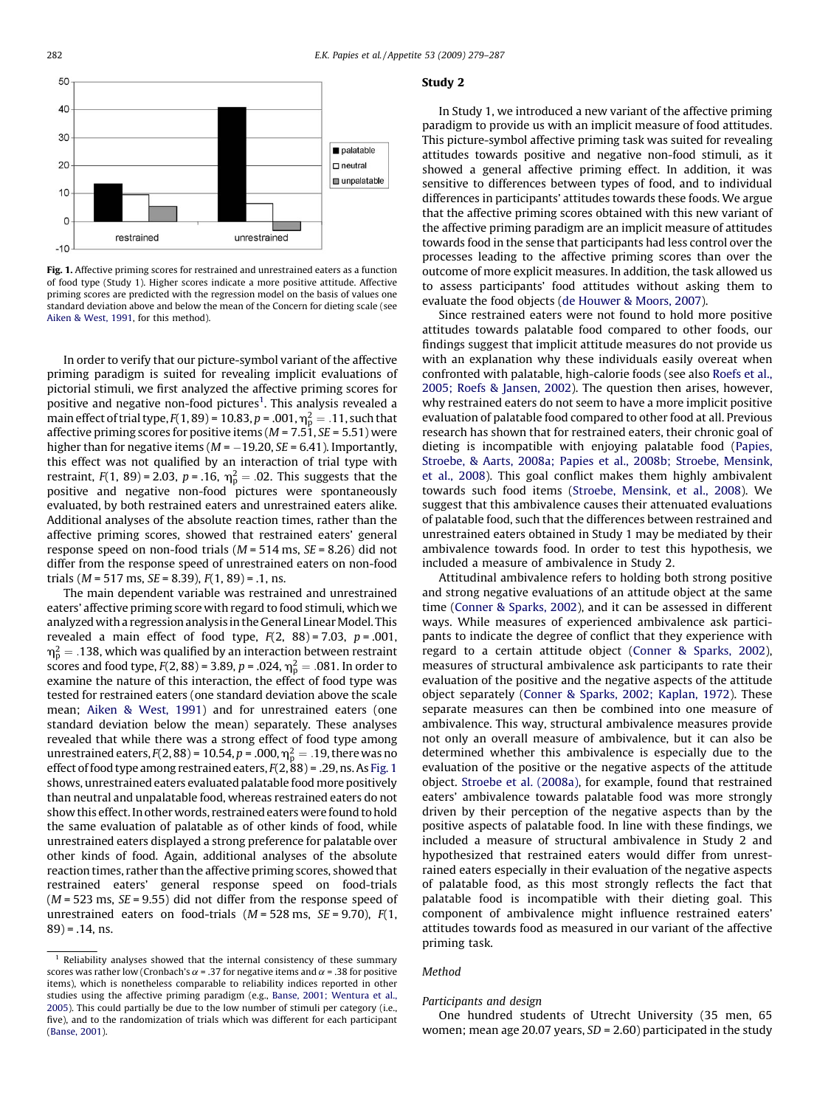

Fig. 1. Affective priming scores for restrained and unrestrained eaters as a function of food type (Study 1). Higher scores indicate a more positive attitude. Affective priming scores are predicted with the regression model on the basis of values one standard deviation above and below the mean of the Concern for dieting scale (see [Aiken & West, 1991](#page-7-0), for this method).

In order to verify that our picture-symbol variant of the affective priming paradigm is suited for revealing implicit evaluations of pictorial stimuli, we first analyzed the affective priming scores for positive and negative non-food pictures<sup>1</sup>. This analysis revealed a main effect of trial type, F(1, 89) = 10.83, p = .001,  $\eta_{\rm p}^2 =$  .11, such that affective priming scores for positive items ( $M = 7.51$ ,  $SE = 5.51$ ) were higher than for negative items ( $M = -19.20$ ,  $SE = 6.41$ ). Importantly, this effect was not qualified by an interaction of trial type with restraint,  $F(1, 89)$  = 2.03,  $p = .16$ ,  $\eta_{p}^{2} = .02$ . This suggests that the positive and negative non-food pictures were spontaneously evaluated, by both restrained eaters and unrestrained eaters alike. Additional analyses of the absolute reaction times, rather than the affective priming scores, showed that restrained eaters' general response speed on non-food trials ( $M = 514$  ms,  $SE = 8.26$ ) did not differ from the response speed of unrestrained eaters on non-food trials ( $M = 517$  ms,  $SE = 8.39$ ),  $F(1, 89) = .1$ , ns.

The main dependent variable was restrained and unrestrained eaters' affective priming score with regard to food stimuli, which we analyzed with a regression analysis in the General Linear Model. This revealed a main effect of food type,  $F(2, 88) = 7.03$ ,  $p = .001$ ,  $\mathsf{m_{p}^{2}}=$  .138, which was qualified by an interaction between restraint scores and food type,  $F(2,88)$  = 3.89,  $p$  = .024,  $\eta_p^2 = .081$ . In order to examine the nature of this interaction, the effect of food type was tested for restrained eaters (one standard deviation above the scale mean; [Aiken & West, 1991\)](#page-7-0) and for unrestrained eaters (one standard deviation below the mean) separately. These analyses revealed that while there was a strong effect of food type among unrestrained eaters, F(2, 88) = 10.54, p = .000,  $\eta_{\rm p}^2 =$  .19, there was no effect of food type among restrained eaters,  $F(2, 88)$  = .29, ns. As Fig. 1 shows, unrestrained eaters evaluated palatable food more positively than neutral and unpalatable food, whereas restrained eaters do not show this effect. In other words, restrained eaters were found to hold the same evaluation of palatable as of other kinds of food, while unrestrained eaters displayed a strong preference for palatable over other kinds of food. Again, additional analyses of the absolute reaction times, rather than the affective priming scores, showed that restrained eaters' general response speed on food-trials  $(M = 523 \text{ ms}, \text{SE} = 9.55)$  did not differ from the response speed of unrestrained eaters on food-trials  $(M = 528 \text{ ms}, \text{ } SE = 9.70), F(1,$  $89$ ) = .14, ns.

#### Study 2

In Study 1, we introduced a new variant of the affective priming paradigm to provide us with an implicit measure of food attitudes. This picture-symbol affective priming task was suited for revealing attitudes towards positive and negative non-food stimuli, as it showed a general affective priming effect. In addition, it was sensitive to differences between types of food, and to individual differences in participants' attitudes towards these foods. We argue that the affective priming scores obtained with this new variant of the affective priming paradigm are an implicit measure of attitudes towards food in the sense that participants had less control over the processes leading to the affective priming scores than over the outcome of more explicit measures. In addition, the task allowed us to assess participants' food attitudes without asking them to evaluate the food objects [\(de Houwer & Moors, 2007\)](#page-7-0).

Since restrained eaters were not found to hold more positive attitudes towards palatable food compared to other foods, our findings suggest that implicit attitude measures do not provide us with an explanation why these individuals easily overeat when confronted with palatable, high-calorie foods (see also [Roefs et al.,](#page-7-0) [2005; Roefs & Jansen, 2002\)](#page-7-0). The question then arises, however, why restrained eaters do not seem to have a more implicit positive evaluation of palatable food compared to other food at all. Previous research has shown that for restrained eaters, their chronic goal of dieting is incompatible with enjoying palatable food [\(Papies,](#page-7-0) [Stroebe, & Aarts, 2008a; Papies et al., 2008b; Stroebe, Mensink,](#page-7-0) [et al., 2008](#page-7-0)). This goal conflict makes them highly ambivalent towards such food items ([Stroebe, Mensink, et al., 2008](#page-7-0)). We suggest that this ambivalence causes their attenuated evaluations of palatable food, such that the differences between restrained and unrestrained eaters obtained in Study 1 may be mediated by their ambivalence towards food. In order to test this hypothesis, we included a measure of ambivalence in Study 2.

Attitudinal ambivalence refers to holding both strong positive and strong negative evaluations of an attitude object at the same time [\(Conner & Sparks, 2002\)](#page-7-0), and it can be assessed in different ways. While measures of experienced ambivalence ask participants to indicate the degree of conflict that they experience with regard to a certain attitude object ([Conner & Sparks, 2002\)](#page-7-0), measures of structural ambivalence ask participants to rate their evaluation of the positive and the negative aspects of the attitude object separately ([Conner & Sparks, 2002; Kaplan, 1972](#page-7-0)). These separate measures can then be combined into one measure of ambivalence. This way, structural ambivalence measures provide not only an overall measure of ambivalence, but it can also be determined whether this ambivalence is especially due to the evaluation of the positive or the negative aspects of the attitude object. [Stroebe et al. \(2008a\),](#page-7-0) for example, found that restrained eaters' ambivalence towards palatable food was more strongly driven by their perception of the negative aspects than by the positive aspects of palatable food. In line with these findings, we included a measure of structural ambivalence in Study 2 and hypothesized that restrained eaters would differ from unrestrained eaters especially in their evaluation of the negative aspects of palatable food, as this most strongly reflects the fact that palatable food is incompatible with their dieting goal. This component of ambivalence might influence restrained eaters' attitudes towards food as measured in our variant of the affective priming task.

#### Method

#### Participants and design

One hundred students of Utrecht University (35 men, 65 women; mean age 20.07 years,  $SD = 2.60$ ) participated in the study

 $1$  Reliability analyses showed that the internal consistency of these summary scores was rather low (Cronbach's  $\alpha$  = .37 for negative items and  $\alpha$  = .38 for positive items), which is nonetheless comparable to reliability indices reported in other studies using the affective priming paradigm (e.g., [Banse, 2001; Wentura et al.,](#page-7-0) [2005](#page-7-0)). This could partially be due to the low number of stimuli per category (i.e., five), and to the randomization of trials which was different for each participant [\(Banse, 2001](#page-7-0)).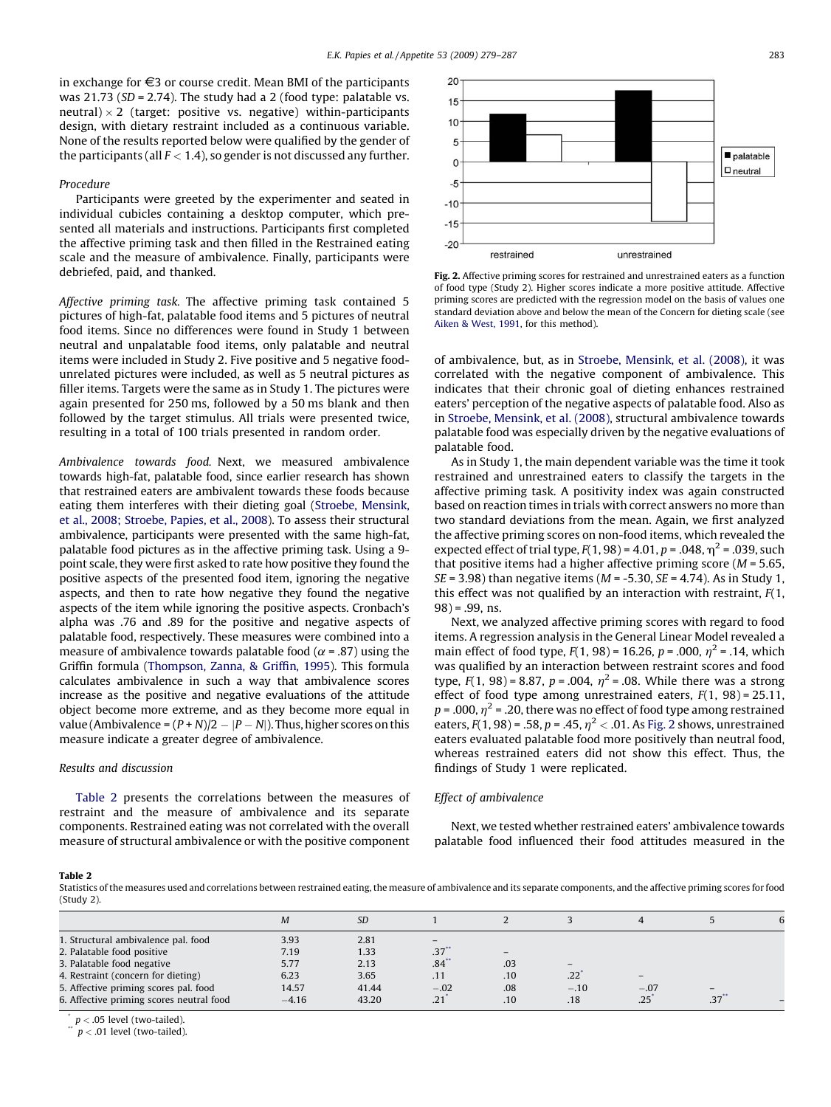in exchange for  $\epsilon$ 3 or course credit. Mean BMI of the participants was  $21.73$  (SD = 2.74). The study had a 2 (food type: palatable vs. neutral)  $\times$  2 (target: positive vs. negative) within-participants design, with dietary restraint included as a continuous variable. None of the results reported below were qualified by the gender of the participants (all  $F < 1.4$ ), so gender is not discussed any further.

#### Procedure

Participants were greeted by the experimenter and seated in individual cubicles containing a desktop computer, which presented all materials and instructions. Participants first completed the affective priming task and then filled in the Restrained eating scale and the measure of ambivalence. Finally, participants were debriefed, paid, and thanked.

Affective priming task. The affective priming task contained 5 pictures of high-fat, palatable food items and 5 pictures of neutral food items. Since no differences were found in Study 1 between neutral and unpalatable food items, only palatable and neutral items were included in Study 2. Five positive and 5 negative foodunrelated pictures were included, as well as 5 neutral pictures as filler items. Targets were the same as in Study 1. The pictures were again presented for 250 ms, followed by a 50 ms blank and then followed by the target stimulus. All trials were presented twice, resulting in a total of 100 trials presented in random order.

Ambivalence towards food. Next, we measured ambivalence towards high-fat, palatable food, since earlier research has shown that restrained eaters are ambivalent towards these foods because eating them interferes with their dieting goal ([Stroebe, Mensink,](#page-7-0) [et al., 2008; Stroebe, Papies, et al., 2008\)](#page-7-0). To assess their structural ambivalence, participants were presented with the same high-fat, palatable food pictures as in the affective priming task. Using a 9 point scale, they were first asked to rate how positive they found the positive aspects of the presented food item, ignoring the negative aspects, and then to rate how negative they found the negative aspects of the item while ignoring the positive aspects. Cronbach's alpha was .76 and .89 for the positive and negative aspects of palatable food, respectively. These measures were combined into a measure of ambivalence towards palatable food ( $\alpha$  = .87) using the Griffin formula [\(Thompson, Zanna, & Griffin, 1995\)](#page-7-0). This formula calculates ambivalence in such a way that ambivalence scores increase as the positive and negative evaluations of the attitude object become more extreme, and as they become more equal in value (Ambivalence =  $(P + N)/2 - |P - N|$ ). Thus, higher scores on this measure indicate a greater degree of ambivalence.

#### Results and discussion

Table 2 presents the correlations between the measures of restraint and the measure of ambivalence and its separate components. Restrained eating was not correlated with the overall measure of structural ambivalence or with the positive component



Fig. 2. Affective priming scores for restrained and unrestrained eaters as a function of food type (Study 2). Higher scores indicate a more positive attitude. Affective priming scores are predicted with the regression model on the basis of values one standard deviation above and below the mean of the Concern for dieting scale (see [Aiken & West, 1991,](#page-7-0) for this method).

of ambivalence, but, as in [Stroebe, Mensink, et al. \(2008\),](#page-7-0) it was correlated with the negative component of ambivalence. This indicates that their chronic goal of dieting enhances restrained eaters' perception of the negative aspects of palatable food. Also as in [Stroebe, Mensink, et al. \(2008\)](#page-7-0), structural ambivalence towards palatable food was especially driven by the negative evaluations of palatable food.

As in Study 1, the main dependent variable was the time it took restrained and unrestrained eaters to classify the targets in the affective priming task. A positivity index was again constructed based on reaction times in trials with correct answers no more than two standard deviations from the mean. Again, we first analyzed the affective priming scores on non-food items, which revealed the expected effect of trial type,  $F(1, 98) = 4.01$ ,  $p = .048$ ,  $\eta^2 = .039$ , such that positive items had a higher affective priming score  $(M = 5.65,$  $SE = 3.98$ ) than negative items ( $M = -5.30$ ,  $SE = 4.74$ ). As in Study 1, this effect was not qualified by an interaction with restraint,  $F(1, 1)$  $98$ ) = .99, ns.

Next, we analyzed affective priming scores with regard to food items. A regression analysis in the General Linear Model revealed a main effect of food type,  $F(1, 98) = 16.26$ ,  $p = .000$ ,  $\eta^2 = .14$ , which was qualified by an interaction between restraint scores and food type,  $F(1, 98) = 8.87$ ,  $p = .004$ ,  $\eta^2 = .08$ . While there was a strong effect of food type among unrestrained eaters,  $F(1, 98) = 25.11$ ,  $p = .000$ ,  $\eta^2 = .20$ , there was no effect of food type among restrained eaters,  $F(1, 98) = .58$ ,  $p = .45$ ,  $\eta^2 < .01$ . As Fig. 2 shows, unrestrained eaters evaluated palatable food more positively than neutral food, whereas restrained eaters did not show this effect. Thus, the findings of Study 1 were replicated.

#### Effect of ambivalence

Next, we tested whether restrained eaters' ambivalence towards palatable food influenced their food attitudes measured in the

#### Table 2

Statistics of the measures used and correlations between restrained eating, the measure of ambivalence and its separate components, and the affective priming scores for food (Study 2).

|                                          | M       | <b>SD</b> |                          |     |                          | 4                        |                   |  |
|------------------------------------------|---------|-----------|--------------------------|-----|--------------------------|--------------------------|-------------------|--|
| 1. Structural ambivalence pal. food      | 3.93    | 2.81      | $\overline{\phantom{a}}$ |     |                          |                          |                   |  |
| 2. Palatable food positive               | 7.19    | 1.33      | .37                      | -   |                          |                          |                   |  |
| 3. Palatable food negative               | 5.77    | 2.13      | $.84$ <sup>*</sup>       | .03 | $\overline{\phantom{m}}$ |                          |                   |  |
| 4. Restraint (concern for dieting)       | 6.23    | 3.65      | .11                      | .10 | .22                      | $\overline{\phantom{m}}$ |                   |  |
| 5. Affective priming scores pal. food    | 14.57   | 41.44     | $-.02$                   | .08 | $-.10$                   | $-.07$                   | $\qquad \qquad -$ |  |
| 6. Affective priming scores neutral food | $-4.16$ | 43.20     | $.21^{\degree}$          | .10 | .18                      | .25                      | $.37$ **          |  |
|                                          |         |           |                          |     |                          |                          |                   |  |

 $p < .05$  level (two-tailed).

 $p < .01$  level (two-tailed).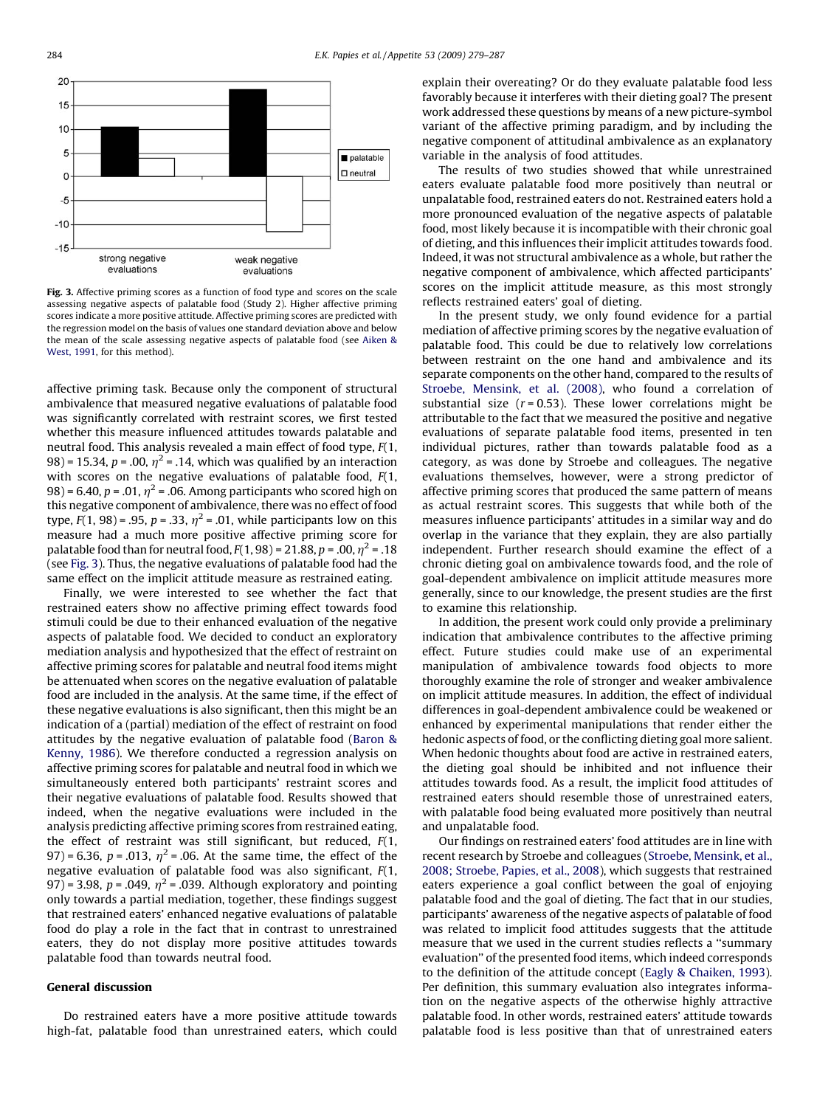

Fig. 3. Affective priming scores as a function of food type and scores on the scale assessing negative aspects of palatable food (Study 2). Higher affective priming scores indicate a more positive attitude. Affective priming scores are predicted with the regression model on the basis of values one standard deviation above and below the mean of the scale assessing negative aspects of palatable food (see [Aiken &](#page-7-0) [West, 1991,](#page-7-0) for this method).

affective priming task. Because only the component of structural ambivalence that measured negative evaluations of palatable food was significantly correlated with restraint scores, we first tested whether this measure influenced attitudes towards palatable and neutral food. This analysis revealed a main effect of food type, F(1, 98) = 15.34,  $p = .00$ ,  $\eta^2 = .14$ , which was qualified by an interaction with scores on the negative evaluations of palatable food,  $F(1, 1)$ 98) = 6.40,  $p = .01$ ,  $\eta^2 = .06$ . Among participants who scored high on this negative component of ambivalence, there was no effect of food type,  $F(1, 98) = .95$ ,  $p = .33$ ,  $\eta^2 = .01$ , while participants low on this measure had a much more positive affective priming score for palatable food than for neutral food,  $F(1, 98) = 21.88$ ,  $p = .00$ ,  $\eta^2 = .18$ (see Fig. 3). Thus, the negative evaluations of palatable food had the same effect on the implicit attitude measure as restrained eating.

Finally, we were interested to see whether the fact that restrained eaters show no affective priming effect towards food stimuli could be due to their enhanced evaluation of the negative aspects of palatable food. We decided to conduct an exploratory mediation analysis and hypothesized that the effect of restraint on affective priming scores for palatable and neutral food items might be attenuated when scores on the negative evaluation of palatable food are included in the analysis. At the same time, if the effect of these negative evaluations is also significant, then this might be an indication of a (partial) mediation of the effect of restraint on food attitudes by the negative evaluation of palatable food [\(Baron &](#page-7-0) [Kenny, 1986\)](#page-7-0). We therefore conducted a regression analysis on affective priming scores for palatable and neutral food in which we simultaneously entered both participants' restraint scores and their negative evaluations of palatable food. Results showed that indeed, when the negative evaluations were included in the analysis predicting affective priming scores from restrained eating, the effect of restraint was still significant, but reduced,  $F(1, 1)$ 97) = 6.36, p = .013,  $\eta^2$  = .06. At the same time, the effect of the negative evaluation of palatable food was also significant,  $F(1, 1)$ 97) = 3.98,  $p = .049$ ,  $\eta^2 = .039$ . Although exploratory and pointing only towards a partial mediation, together, these findings suggest that restrained eaters' enhanced negative evaluations of palatable food do play a role in the fact that in contrast to unrestrained eaters, they do not display more positive attitudes towards palatable food than towards neutral food.

#### General discussion

Do restrained eaters have a more positive attitude towards high-fat, palatable food than unrestrained eaters, which could explain their overeating? Or do they evaluate palatable food less favorably because it interferes with their dieting goal? The present work addressed these questions by means of a new picture-symbol variant of the affective priming paradigm, and by including the negative component of attitudinal ambivalence as an explanatory variable in the analysis of food attitudes.

The results of two studies showed that while unrestrained eaters evaluate palatable food more positively than neutral or unpalatable food, restrained eaters do not. Restrained eaters hold a more pronounced evaluation of the negative aspects of palatable food, most likely because it is incompatible with their chronic goal of dieting, and this influences their implicit attitudes towards food. Indeed, it was not structural ambivalence as a whole, but rather the negative component of ambivalence, which affected participants' scores on the implicit attitude measure, as this most strongly reflects restrained eaters' goal of dieting.

In the present study, we only found evidence for a partial mediation of affective priming scores by the negative evaluation of palatable food. This could be due to relatively low correlations between restraint on the one hand and ambivalence and its separate components on the other hand, compared to the results of [Stroebe, Mensink, et al. \(2008\),](#page-7-0) who found a correlation of substantial size  $(r = 0.53)$ . These lower correlations might be attributable to the fact that we measured the positive and negative evaluations of separate palatable food items, presented in ten individual pictures, rather than towards palatable food as a category, as was done by Stroebe and colleagues. The negative evaluations themselves, however, were a strong predictor of affective priming scores that produced the same pattern of means as actual restraint scores. This suggests that while both of the measures influence participants' attitudes in a similar way and do overlap in the variance that they explain, they are also partially independent. Further research should examine the effect of a chronic dieting goal on ambivalence towards food, and the role of goal-dependent ambivalence on implicit attitude measures more generally, since to our knowledge, the present studies are the first to examine this relationship.

In addition, the present work could only provide a preliminary indication that ambivalence contributes to the affective priming effect. Future studies could make use of an experimental manipulation of ambivalence towards food objects to more thoroughly examine the role of stronger and weaker ambivalence on implicit attitude measures. In addition, the effect of individual differences in goal-dependent ambivalence could be weakened or enhanced by experimental manipulations that render either the hedonic aspects of food, or the conflicting dieting goal more salient. When hedonic thoughts about food are active in restrained eaters, the dieting goal should be inhibited and not influence their attitudes towards food. As a result, the implicit food attitudes of restrained eaters should resemble those of unrestrained eaters, with palatable food being evaluated more positively than neutral and unpalatable food.

Our findings on restrained eaters' food attitudes are in line with recent research by Stroebe and colleagues ([Stroebe, Mensink, et al.,](#page-7-0) [2008; Stroebe, Papies, et al., 2008\)](#page-7-0), which suggests that restrained eaters experience a goal conflict between the goal of enjoying palatable food and the goal of dieting. The fact that in our studies, participants' awareness of the negative aspects of palatable of food was related to implicit food attitudes suggests that the attitude measure that we used in the current studies reflects a ''summary evaluation'' of the presented food items, which indeed corresponds to the definition of the attitude concept [\(Eagly & Chaiken, 1993\)](#page-7-0). Per definition, this summary evaluation also integrates information on the negative aspects of the otherwise highly attractive palatable food. In other words, restrained eaters' attitude towards palatable food is less positive than that of unrestrained eaters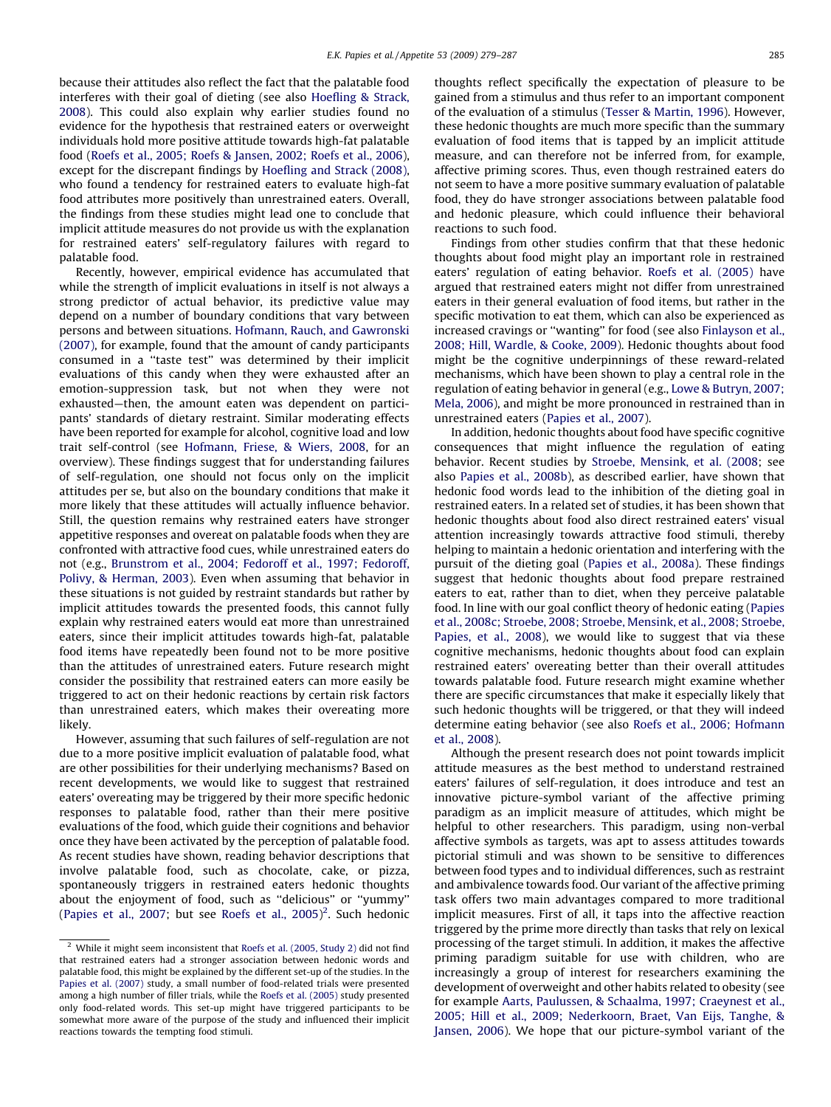because their attitudes also reflect the fact that the palatable food interferes with their goal of dieting (see also [Hoefling & Strack,](#page-7-0) [2008\)](#page-7-0). This could also explain why earlier studies found no evidence for the hypothesis that restrained eaters or overweight individuals hold more positive attitude towards high-fat palatable food [\(Roefs et al., 2005; Roefs & Jansen, 2002; Roefs et al., 2006\)](#page-7-0), except for the discrepant findings by [Hoefling and Strack \(2008\),](#page-7-0) who found a tendency for restrained eaters to evaluate high-fat food attributes more positively than unrestrained eaters. Overall, the findings from these studies might lead one to conclude that implicit attitude measures do not provide us with the explanation for restrained eaters' self-regulatory failures with regard to palatable food.

Recently, however, empirical evidence has accumulated that while the strength of implicit evaluations in itself is not always a strong predictor of actual behavior, its predictive value may depend on a number of boundary conditions that vary between persons and between situations. [Hofmann, Rauch, and Gawronski](#page-7-0) [\(2007\),](#page-7-0) for example, found that the amount of candy participants consumed in a ''taste test'' was determined by their implicit evaluations of this candy when they were exhausted after an emotion-suppression task, but not when they were not exhausted—then, the amount eaten was dependent on participants' standards of dietary restraint. Similar moderating effects have been reported for example for alcohol, cognitive load and low trait self-control (see [Hofmann, Friese, & Wiers, 2008](#page-7-0), for an overview). These findings suggest that for understanding failures of self-regulation, one should not focus only on the implicit attitudes per se, but also on the boundary conditions that make it more likely that these attitudes will actually influence behavior. Still, the question remains why restrained eaters have stronger appetitive responses and overeat on palatable foods when they are confronted with attractive food cues, while unrestrained eaters do not (e.g., [Brunstrom et al., 2004; Fedoroff et al., 1997; Fedoroff,](#page-7-0) [Polivy, & Herman, 2003\)](#page-7-0). Even when assuming that behavior in these situations is not guided by restraint standards but rather by implicit attitudes towards the presented foods, this cannot fully explain why restrained eaters would eat more than unrestrained eaters, since their implicit attitudes towards high-fat, palatable food items have repeatedly been found not to be more positive than the attitudes of unrestrained eaters. Future research might consider the possibility that restrained eaters can more easily be triggered to act on their hedonic reactions by certain risk factors than unrestrained eaters, which makes their overeating more likely.

However, assuming that such failures of self-regulation are not due to a more positive implicit evaluation of palatable food, what are other possibilities for their underlying mechanisms? Based on recent developments, we would like to suggest that restrained eaters' overeating may be triggered by their more specific hedonic responses to palatable food, rather than their mere positive evaluations of the food, which guide their cognitions and behavior once they have been activated by the perception of palatable food. As recent studies have shown, reading behavior descriptions that involve palatable food, such as chocolate, cake, or pizza, spontaneously triggers in restrained eaters hedonic thoughts about the enjoyment of food, such as ''delicious'' or ''yummy'' ([Papies et al., 2007](#page-7-0); but see [Roefs et al., 2005](#page-7-0))<sup>2</sup>. Such hedonic

thoughts reflect specifically the expectation of pleasure to be gained from a stimulus and thus refer to an important component of the evaluation of a stimulus [\(Tesser & Martin, 1996\)](#page-7-0). However, these hedonic thoughts are much more specific than the summary evaluation of food items that is tapped by an implicit attitude measure, and can therefore not be inferred from, for example, affective priming scores. Thus, even though restrained eaters do not seem to have a more positive summary evaluation of palatable food, they do have stronger associations between palatable food and hedonic pleasure, which could influence their behavioral reactions to such food.

Findings from other studies confirm that that these hedonic thoughts about food might play an important role in restrained eaters' regulation of eating behavior. [Roefs et al. \(2005\)](#page-7-0) have argued that restrained eaters might not differ from unrestrained eaters in their general evaluation of food items, but rather in the specific motivation to eat them, which can also be experienced as increased cravings or ''wanting'' for food (see also [Finlayson et al.,](#page-7-0) [2008; Hill, Wardle, & Cooke, 2009](#page-7-0)). Hedonic thoughts about food might be the cognitive underpinnings of these reward-related mechanisms, which have been shown to play a central role in the regulation of eating behavior in general (e.g., [Lowe & Butryn, 2007;](#page-7-0) [Mela, 2006\)](#page-7-0), and might be more pronounced in restrained than in unrestrained eaters [\(Papies et al., 2007](#page-7-0)).

In addition, hedonic thoughts about food have specific cognitive consequences that might influence the regulation of eating behavior. Recent studies by [Stroebe, Mensink, et al. \(2008;](#page-7-0) see also [Papies et al., 2008b\)](#page-7-0), as described earlier, have shown that hedonic food words lead to the inhibition of the dieting goal in restrained eaters. In a related set of studies, it has been shown that hedonic thoughts about food also direct restrained eaters' visual attention increasingly towards attractive food stimuli, thereby helping to maintain a hedonic orientation and interfering with the pursuit of the dieting goal ([Papies et al., 2008a\)](#page-7-0). These findings suggest that hedonic thoughts about food prepare restrained eaters to eat, rather than to diet, when they perceive palatable food. In line with our goal conflict theory of hedonic eating [\(Papies](#page-7-0) [et al., 2008c; Stroebe, 2008; Stroebe, Mensink, et al., 2008; Stroebe,](#page-7-0) [Papies, et al., 2008\)](#page-7-0), we would like to suggest that via these cognitive mechanisms, hedonic thoughts about food can explain restrained eaters' overeating better than their overall attitudes towards palatable food. Future research might examine whether there are specific circumstances that make it especially likely that such hedonic thoughts will be triggered, or that they will indeed determine eating behavior (see also [Roefs et al., 2006; Hofmann](#page-7-0) [et al., 2008](#page-7-0)).

Although the present research does not point towards implicit attitude measures as the best method to understand restrained eaters' failures of self-regulation, it does introduce and test an innovative picture-symbol variant of the affective priming paradigm as an implicit measure of attitudes, which might be helpful to other researchers. This paradigm, using non-verbal affective symbols as targets, was apt to assess attitudes towards pictorial stimuli and was shown to be sensitive to differences between food types and to individual differences, such as restraint and ambivalence towards food. Our variant of the affective priming task offers two main advantages compared to more traditional implicit measures. First of all, it taps into the affective reaction triggered by the prime more directly than tasks that rely on lexical processing of the target stimuli. In addition, it makes the affective priming paradigm suitable for use with children, who are increasingly a group of interest for researchers examining the development of overweight and other habits related to obesity (see for example [Aarts, Paulussen, & Schaalma, 1997; Craeynest et al.,](#page-7-0) [2005; Hill et al., 2009; Nederkoorn, Braet, Van Eijs, Tanghe, &](#page-7-0) [Jansen, 2006](#page-7-0)). We hope that our picture-symbol variant of the

 $2$  While it might seem inconsistent that [Roefs et al. \(2005, Study 2\)](#page-7-0) did not find that restrained eaters had a stronger association between hedonic words and palatable food, this might be explained by the different set-up of the studies. In the [Papies et al. \(2007\)](#page-7-0) study, a small number of food-related trials were presented among a high number of filler trials, while the [Roefs et al. \(2005\)](#page-7-0) study presented only food-related words. This set-up might have triggered participants to be somewhat more aware of the purpose of the study and influenced their implicit reactions towards the tempting food stimuli.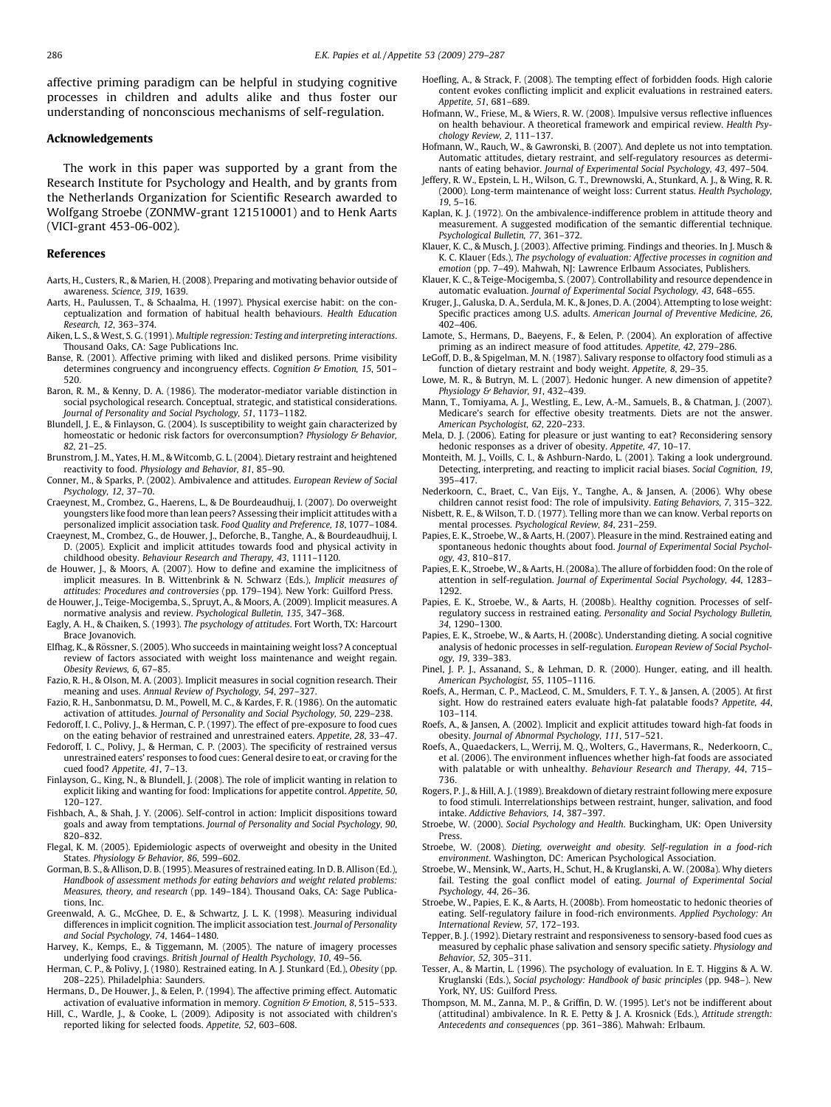<span id="page-7-0"></span>affective priming paradigm can be helpful in studying cognitive processes in children and adults alike and thus foster our understanding of nonconscious mechanisms of self-regulation.

#### Acknowledgements

The work in this paper was supported by a grant from the Research Institute for Psychology and Health, and by grants from the Netherlands Organization for Scientific Research awarded to Wolfgang Stroebe (ZONMW-grant 121510001) and to Henk Aarts (VICI-grant 453-06-002).

#### References

- Aarts, H., Custers, R., & Marien, H. (2008). Preparing and motivating behavior outside of awareness. Science, 319, 1639.
- Aarts, H., Paulussen, T., & Schaalma, H. (1997). Physical exercise habit: on the conceptualization and formation of habitual health behaviours. Health Education Research, 12, 363–374.
- Aiken, L. S., & West, S. G. (1991). Multiple regression: Testing and interpreting interactions. Thousand Oaks, CA: Sage Publications Inc.
- Banse, R. (2001). Affective priming with liked and disliked persons. Prime visibility determines congruency and incongruency effects. Cognition & Emotion, 15, 501-520.
- Baron, R. M., & Kenny, D. A. (1986). The moderator-mediator variable distinction in social psychological research. Conceptual, strategic, and statistical considerations. Journal of Personality and Social Psychology, 51, 1173–1182.
- Blundell, J. E., & Finlayson, G. (2004). Is susceptibility to weight gain characterized by homeostatic or hedonic risk factors for overconsumption? Physiology & Behavior, 82, 21–25.
- Brunstrom, J. M., Yates, H. M., & Witcomb, G. L. (2004). Dietary restraint and heightened reactivity to food. Physiology and Behavior, 81, 85–90.
- Conner, M., & Sparks, P. (2002). Ambivalence and attitudes. European Review of Social Psychology, 12, 37–70.
- Craeynest, M., Crombez, G., Haerens, L., & De Bourdeaudhuij, I. (2007). Do overweight youngsters like food more than lean peers? Assessing their implicit attitudes with a personalized implicit association task. Food Quality and Preference, 18, 1077–1084.
- Craeynest, M., Crombez, G., de Houwer, J., Deforche, B., Tanghe, A., & Bourdeaudhuij, I. D. (2005). Explicit and implicit attitudes towards food and physical activity in childhood obesity. Behaviour Research and Therapy, 43, 1111–1120.
- de Houwer, J., & Moors, A. (2007). How to define and examine the implicitness of implicit measures. In B. Wittenbrink & N. Schwarz (Eds.), Implicit measures of attitudes: Procedures and controversies (pp. 179–194). New York: Guilford Press.
- de Houwer, J., Teige-Mocigemba, S., Spruyt, A., & Moors, A. (2009). Implicit measures. A normative analysis and review. Psychological Bulletin, 135, 347–368.
- Eagly, A. H., & Chaiken, S. (1993). The psychology of attitudes. Fort Worth, TX: Harcourt Brace Jovanovich.
- Elfhag, K., & Rössner, S. (2005). Who succeeds in maintaining weight loss? A conceptual review of factors associated with weight loss maintenance and weight regain. Obesity Reviews, 6, 67–85.
- Fazio, R. H., & Olson, M. A. (2003). Implicit measures in social cognition research. Their meaning and uses. Annual Review of Psychology, 54, 297–327.
- Fazio, R. H., Sanbonmatsu, D. M., Powell, M. C., & Kardes, F. R. (1986). On the automatic activation of attitudes. Journal of Personality and Social Psychology, 50, 229–238.
- Fedoroff, I. C., Polivy, J., & Herman, C. P. (1997). The effect of pre-exposure to food cues on the eating behavior of restrained and unrestrained eaters. Appetite, 28, 33–47.
- Fedoroff, I. C., Polivy, J., & Herman, C. P. (2003). The specificity of restrained versus unrestrained eaters' responses to food cues: General desire to eat, or craving for the cued food? Appetite, 41, 7–13.
- Finlayson, G., King, N., & Blundell, J. (2008). The role of implicit wanting in relation to explicit liking and wanting for food: Implications for appetite control. Appetite, 50, 120–127.
- Fishbach, A., & Shah, J. Y. (2006). Self-control in action: Implicit dispositions toward goals and away from temptations. Journal of Personality and Social Psychology, 90, 820–832.
- Flegal, K. M. (2005). Epidemiologic aspects of overweight and obesity in the United States. Physiology & Behavior, 86, 599–602.
- Gorman, B. S., & Allison, D. B. (1995). Measures of restrained eating. In D. B. Allison (Ed.), Handbook of assessment methods for eating behaviors and weight related problems: Measures, theory, and research (pp. 149–184). Thousand Oaks, CA: Sage Publications, Inc.
- Greenwald, A. G., McGhee, D. E., & Schwartz, J. L. K. (1998). Measuring individual differences in implicit cognition. The implicit association test. Journal of Personality and Social Psychology, 74, 1464–1480.
- Harvey, K., Kemps, E., & Tiggemann, M. (2005). The nature of imagery processes underlying food cravings. British Journal of Health Psychology, 10, 49–56.
- Herman, C. P., & Polivy, J. (1980). Restrained eating. In A. J. Stunkard (Ed.), Obesity (pp. 208–225). Philadelphia: Saunders.
- Hermans, D., De Houwer, J., & Eelen, P. (1994). The affective priming effect. Automatic activation of evaluative information in memory. Cognition & Emotion, 8, 515-533.
- Hill, C., Wardle, J., & Cooke, L. (2009). Adiposity is not associated with children's reported liking for selected foods. Appetite, 52, 603–608.
- Hoefling, A., & Strack, F. (2008). The tempting effect of forbidden foods. High calorie content evokes conflicting implicit and explicit evaluations in restrained eaters. Appetite, 51, 681–689.
- Hofmann, W., Friese, M., & Wiers, R. W. (2008). Impulsive versus reflective influences on health behaviour. A theoretical framework and empirical review. Health Psychology Review, 2, 111–137.
- Hofmann, W., Rauch, W., & Gawronski, B. (2007). And deplete us not into temptation. Automatic attitudes, dietary restraint, and self-regulatory resources as determinants of eating behavior. Journal of Experimental Social Psychology, 43, 497–504.
- Jeffery, R. W., Epstein, L. H., Wilson, G. T., Drewnowski, A., Stunkard, A. J., & Wing, R. R. (2000). Long-term maintenance of weight loss: Current status. Health Psychology, 19, 5–16.
- Kaplan, K. J. (1972). On the ambivalence-indifference problem in attitude theory and measurement. A suggested modification of the semantic differential technique. Psychological Bulletin, 77, 361–372.
- Klauer, K. C., & Musch, J. (2003). Affective priming. Findings and theories. In J. Musch & K. C. Klauer (Eds.), The psychology of evaluation: Affective processes in cognition and emotion (pp. 7–49). Mahwah, NJ: Lawrence Erlbaum Associates, Publishers.
- Klauer, K. C., & Teige-Mocigemba, S. (2007). Controllability and resource dependence in automatic evaluation. Journal of Experimental Social Psychology, 43, 648–655.
- Kruger, J., Galuska, D. A., Serdula, M. K., & Jones, D. A. (2004). Attempting to lose weight: Specific practices among U.S. adults. American Journal of Preventive Medicine, 26, 402–406.
- Lamote, S., Hermans, D., Baeyens, F., & Eelen, P. (2004). An exploration of affective priming as an indirect measure of food attitudes. Appetite, 42, 279–286.
- LeGoff, D. B., & Spigelman, M. N. (1987). Salivary response to olfactory food stimuli as a function of dietary restraint and body weight. Appetite, 8, 29–35.
- Lowe, M. R., & Butryn, M. L. (2007). Hedonic hunger. A new dimension of appetite? Physiology & Behavior, 91, 432–439.
- Mann, T., Tomiyama, A. J., Westling, E., Lew, A.-M., Samuels, B., & Chatman, J. (2007). Medicare's search for effective obesity treatments. Diets are not the answer. American Psychologist, 62, 220–233.
- Mela, D. J. (2006). Eating for pleasure or just wanting to eat? Reconsidering sensory hedonic responses as a driver of obesity. Appetite, 47, 10-17.
- Monteith, M. J., Voills, C. I., & Ashburn-Nardo, L. (2001). Taking a look underground. Detecting, interpreting, and reacting to implicit racial biases. Social Cognition, 19, 395–417.
- Nederkoorn, C., Braet, C., Van Eijs, Y., Tanghe, A., & Jansen, A. (2006). Why obese children cannot resist food: The role of impulsivity. Eating Behaviors, 7, 315–322.
- Nisbett, R. E., & Wilson, T. D. (1977). Telling more than we can know. Verbal reports on mental processes. Psychological Review, 84, 231–259.
- Papies, E. K., Stroebe, W., & Aarts, H. (2007). Pleasure in the mind. Restrained eating and spontaneous hedonic thoughts about food. Journal of Experimental Social Psychology, 43, 810–817.
- Papies, E. K., Stroebe, W., & Aarts, H. (2008a). The allure of forbidden food: On the role of attention in self-regulation. Journal of Experimental Social Psychology, 44, 1283– 1292.
- Papies, E. K., Stroebe, W., & Aarts, H. (2008b). Healthy cognition. Processes of selfregulatory success in restrained eating. Personality and Social Psychology Bulletin, 34, 1290–1300.
- Papies, E. K., Stroebe, W., & Aarts, H. (2008c). Understanding dieting. A social cognitive analysis of hedonic processes in self-regulation. European Review of Social Psychology, 19, 339–383.
- Pinel, J. P. J., Assanand, S., & Lehman, D. R. (2000). Hunger, eating, and ill health. American Psychologist, 55, 1105–1116.
- Roefs, A., Herman, C. P., MacLeod, C. M., Smulders, F. T. Y., & Jansen, A. (2005). At first sight. How do restrained eaters evaluate high-fat palatable foods? Appetite, 44, 103–114.
- Roefs, A., & Jansen, A. (2002). Implicit and explicit attitudes toward high-fat foods in obesity. Journal of Abnormal Psychology, 111, 517–521.
- Roefs, A., Quaedackers, L., Werrij, M. Q., Wolters, G., Havermans, R., Nederkoorn, C., et al. (2006). The environment influences whether high-fat foods are associated with palatable or with unhealthy. Behaviour Research and Therapy, 44, 715– 736.
- Rogers, P. J., & Hill, A. J. (1989). Breakdown of dietary restraint following mere exposure to food stimuli. Interrelationships between restraint, hunger, salivation, and food intake. Addictive Behaviors, 14, 387–397.
- Stroebe, W. (2000). Social Psychology and Health. Buckingham, UK: Open University Press.
- Stroebe, W. (2008). Dieting, overweight and obesity. Self-regulation in a food-rich environment. Washington, DC: American Psychological Association.
- Stroebe, W., Mensink, W., Aarts, H., Schut, H., & Kruglanski, A. W. (2008a). Why dieters fail. Testing the goal conflict model of eating. Journal of Experimental Social Psychology, 44, 26–36.
- Stroebe, W., Papies, E. K., & Aarts, H. (2008b). From homeostatic to hedonic theories of eating. Self-regulatory failure in food-rich environments. Applied Psychology: An International Review, 57, 172–193.
- Tepper, B. J. (1992). Dietary restraint and responsiveness to sensory-based food cues as measured by cephalic phase salivation and sensory specific satiety. Physiology and Behavior, 52, 305–311.
- Tesser, A., & Martin, L. (1996). The psychology of evaluation. In E. T. Higgins & A. W. Kruglanski (Eds.), Social psychology: Handbook of basic principles (pp. 948–). New York, NY, US: Guilford Press.
- Thompson, M. M., Zanna, M. P., & Griffin, D. W. (1995). Let's not be indifferent about (attitudinal) ambivalence. In R. E. Petty & J. A. Krosnick (Eds.), Attitude strength: Antecedents and consequences (pp. 361–386). Mahwah: Erlbaum.